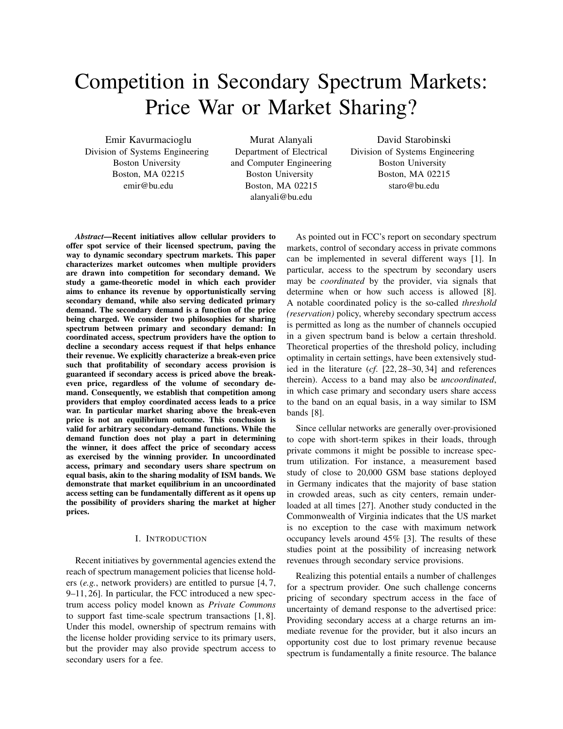# Competition in Secondary Spectrum Markets: Price War or Market Sharing?

Emir Kavurmacioglu Division of Systems Engineering Boston University Boston, MA 02215 emir@bu.edu

Murat Alanyali Department of Electrical and Computer Engineering Boston University Boston, MA 02215 alanyali@bu.edu

David Starobinski Division of Systems Engineering Boston University Boston, MA 02215 staro@bu.edu

*Abstract*—Recent initiatives allow cellular providers to offer spot service of their licensed spectrum, paving the way to dynamic secondary spectrum markets. This paper characterizes market outcomes when multiple providers are drawn into competition for secondary demand. We study a game-theoretic model in which each provider aims to enhance its revenue by opportunistically serving secondary demand, while also serving dedicated primary demand. The secondary demand is a function of the price being charged. We consider two philosophies for sharing spectrum between primary and secondary demand: In coordinated access, spectrum providers have the option to decline a secondary access request if that helps enhance their revenue. We explicitly characterize a break-even price such that profitability of secondary access provision is guaranteed if secondary access is priced above the breakeven price, regardless of the volume of secondary demand. Consequently, we establish that competition among providers that employ coordinated access leads to a price war. In particular market sharing above the break-even price is not an equilibrium outcome. This conclusion is valid for arbitrary secondary-demand functions. While the demand function does not play a part in determining the winner, it does affect the price of secondary access as exercised by the winning provider. In uncoordinated access, primary and secondary users share spectrum on equal basis, akin to the sharing modality of ISM bands. We demonstrate that market equilibrium in an uncoordinated access setting can be fundamentally different as it opens up the possibility of providers sharing the market at higher prices.

# I. INTRODUCTION

Recent initiatives by governmental agencies extend the reach of spectrum management policies that license holders (*e.g.*, network providers) are entitled to pursue [4, 7, 9–11, 26]. In particular, the FCC introduced a new spectrum access policy model known as *Private Commons* to support fast time-scale spectrum transactions [1, 8]. Under this model, ownership of spectrum remains with the license holder providing service to its primary users, but the provider may also provide spectrum access to secondary users for a fee.

As pointed out in FCC's report on secondary spectrum markets, control of secondary access in private commons can be implemented in several different ways [1]. In particular, access to the spectrum by secondary users may be *coordinated* by the provider, via signals that determine when or how such access is allowed [8]. A notable coordinated policy is the so-called *threshold (reservation)* policy, whereby secondary spectrum access is permitted as long as the number of channels occupied in a given spectrum band is below a certain threshold. Theoretical properties of the threshold policy, including optimality in certain settings, have been extensively studied in the literature (*cf*. [22, 28–30, 34] and references therein). Access to a band may also be *uncoordinated*, in which case primary and secondary users share access to the band on an equal basis, in a way similar to ISM bands [8].

Since cellular networks are generally over-provisioned to cope with short-term spikes in their loads, through private commons it might be possible to increase spectrum utilization. For instance, a measurement based study of close to 20,000 GSM base stations deployed in Germany indicates that the majority of base station in crowded areas, such as city centers, remain underloaded at all times [27]. Another study conducted in the Commonwealth of Virginia indicates that the US market is no exception to the case with maximum network occupancy levels around 45% [3]. The results of these studies point at the possibility of increasing network revenues through secondary service provisions.

Realizing this potential entails a number of challenges for a spectrum provider. One such challenge concerns pricing of secondary spectrum access in the face of uncertainty of demand response to the advertised price: Providing secondary access at a charge returns an immediate revenue for the provider, but it also incurs an opportunity cost due to lost primary revenue because spectrum is fundamentally a finite resource. The balance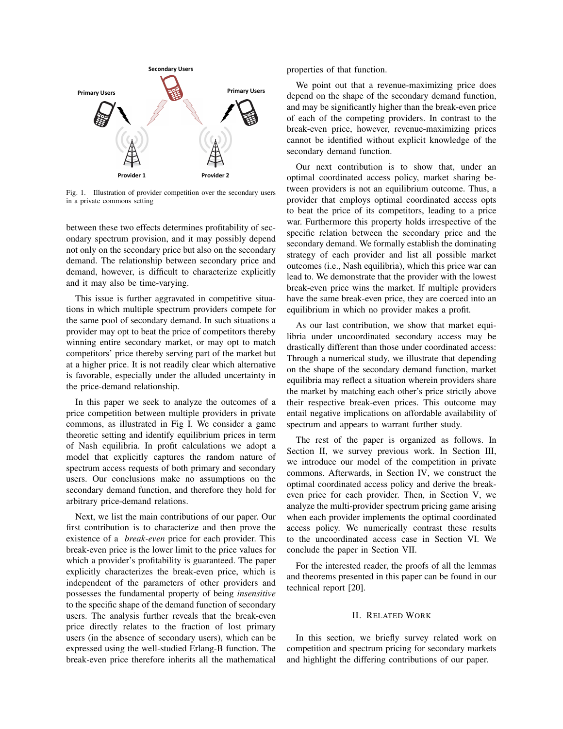

Fig. 1. Illustration of provider competition over the secondary users in a private commons setting

between these two effects determines profitability of secondary spectrum provision, and it may possibly depend not only on the secondary price but also on the secondary demand. The relationship between secondary price and demand, however, is difficult to characterize explicitly and it may also be time-varying.

This issue is further aggravated in competitive situations in which multiple spectrum providers compete for the same pool of secondary demand. In such situations a provider may opt to beat the price of competitors thereby winning entire secondary market, or may opt to match competitors' price thereby serving part of the market but at a higher price. It is not readily clear which alternative is favorable, especially under the alluded uncertainty in the price-demand relationship.

In this paper we seek to analyze the outcomes of a price competition between multiple providers in private commons, as illustrated in Fig I. We consider a game theoretic setting and identify equilibrium prices in term of Nash equilibria. In profit calculations we adopt a model that explicitly captures the random nature of spectrum access requests of both primary and secondary users. Our conclusions make no assumptions on the secondary demand function, and therefore they hold for arbitrary price-demand relations.

Next, we list the main contributions of our paper. Our first contribution is to characterize and then prove the existence of a *break-even* price for each provider. This break-even price is the lower limit to the price values for which a provider's profitability is guaranteed. The paper explicitly characterizes the break-even price, which is independent of the parameters of other providers and possesses the fundamental property of being *insensitive* to the specific shape of the demand function of secondary users. The analysis further reveals that the break-even price directly relates to the fraction of lost primary users (in the absence of secondary users), which can be expressed using the well-studied Erlang-B function. The break-even price therefore inherits all the mathematical properties of that function.

We point out that a revenue-maximizing price does depend on the shape of the secondary demand function, and may be significantly higher than the break-even price of each of the competing providers. In contrast to the break-even price, however, revenue-maximizing prices cannot be identified without explicit knowledge of the secondary demand function.

Our next contribution is to show that, under an optimal coordinated access policy, market sharing between providers is not an equilibrium outcome. Thus, a provider that employs optimal coordinated access opts to beat the price of its competitors, leading to a price war. Furthermore this property holds irrespective of the specific relation between the secondary price and the secondary demand. We formally establish the dominating strategy of each provider and list all possible market outcomes (i.e., Nash equilibria), which this price war can lead to. We demonstrate that the provider with the lowest break-even price wins the market. If multiple providers have the same break-even price, they are coerced into an equilibrium in which no provider makes a profit.

As our last contribution, we show that market equilibria under uncoordinated secondary access may be drastically different than those under coordinated access: Through a numerical study, we illustrate that depending on the shape of the secondary demand function, market equilibria may reflect a situation wherein providers share the market by matching each other's price strictly above their respective break-even prices. This outcome may entail negative implications on affordable availability of spectrum and appears to warrant further study.

The rest of the paper is organized as follows. In Section II, we survey previous work. In Section III, we introduce our model of the competition in private commons. Afterwards, in Section IV, we construct the optimal coordinated access policy and derive the breakeven price for each provider. Then, in Section V, we analyze the multi-provider spectrum pricing game arising when each provider implements the optimal coordinated access policy. We numerically contrast these results to the uncoordinated access case in Section VI. We conclude the paper in Section VII.

For the interested reader, the proofs of all the lemmas and theorems presented in this paper can be found in our technical report [20].

# II. RELATED WORK

In this section, we briefly survey related work on competition and spectrum pricing for secondary markets and highlight the differing contributions of our paper.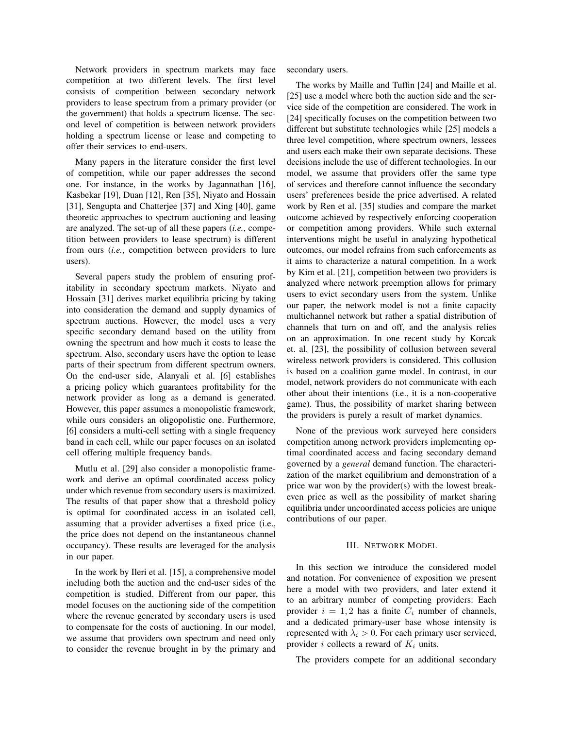Network providers in spectrum markets may face competition at two different levels. The first level consists of competition between secondary network providers to lease spectrum from a primary provider (or the government) that holds a spectrum license. The second level of competition is between network providers holding a spectrum license or lease and competing to offer their services to end-users.

Many papers in the literature consider the first level of competition, while our paper addresses the second one. For instance, in the works by Jagannathan [16], Kasbekar [19], Duan [12], Ren [35], Niyato and Hossain [31], Sengupta and Chatterjee [37] and Xing [40], game theoretic approaches to spectrum auctioning and leasing are analyzed. The set-up of all these papers (*i.e.*, competition between providers to lease spectrum) is different from ours (*i.e.*, competition between providers to lure users).

Several papers study the problem of ensuring profitability in secondary spectrum markets. Niyato and Hossain [31] derives market equilibria pricing by taking into consideration the demand and supply dynamics of spectrum auctions. However, the model uses a very specific secondary demand based on the utility from owning the spectrum and how much it costs to lease the spectrum. Also, secondary users have the option to lease parts of their spectrum from different spectrum owners. On the end-user side, Alanyali et al. [6] establishes a pricing policy which guarantees profitability for the network provider as long as a demand is generated. However, this paper assumes a monopolistic framework, while ours considers an oligopolistic one. Furthermore, [6] considers a multi-cell setting with a single frequency band in each cell, while our paper focuses on an isolated cell offering multiple frequency bands.

Mutlu et al. [29] also consider a monopolistic framework and derive an optimal coordinated access policy under which revenue from secondary users is maximized. The results of that paper show that a threshold policy is optimal for coordinated access in an isolated cell, assuming that a provider advertises a fixed price (i.e., the price does not depend on the instantaneous channel occupancy). These results are leveraged for the analysis in our paper.

In the work by Ileri et al. [15], a comprehensive model including both the auction and the end-user sides of the competition is studied. Different from our paper, this model focuses on the auctioning side of the competition where the revenue generated by secondary users is used to compensate for the costs of auctioning. In our model, we assume that providers own spectrum and need only to consider the revenue brought in by the primary and secondary users.

The works by Maille and Tuffin [24] and Maille et al. [25] use a model where both the auction side and the service side of the competition are considered. The work in [24] specifically focuses on the competition between two different but substitute technologies while [25] models a three level competition, where spectrum owners, lessees and users each make their own separate decisions. These decisions include the use of different technologies. In our model, we assume that providers offer the same type of services and therefore cannot influence the secondary users' preferences beside the price advertised. A related work by Ren et al. [35] studies and compare the market outcome achieved by respectively enforcing cooperation or competition among providers. While such external interventions might be useful in analyzing hypothetical outcomes, our model refrains from such enforcements as it aims to characterize a natural competition. In a work by Kim et al. [21], competition between two providers is analyzed where network preemption allows for primary users to evict secondary users from the system. Unlike our paper, the network model is not a finite capacity multichannel network but rather a spatial distribution of channels that turn on and off, and the analysis relies on an approximation. In one recent study by Korcak et. al. [23], the possibility of collusion between several wireless network providers is considered. This collusion is based on a coalition game model. In contrast, in our model, network providers do not communicate with each other about their intentions (i.e., it is a non-cooperative game). Thus, the possibility of market sharing between the providers is purely a result of market dynamics.

None of the previous work surveyed here considers competition among network providers implementing optimal coordinated access and facing secondary demand governed by a *general* demand function. The characterization of the market equilibrium and demonstration of a price war won by the provider(s) with the lowest breakeven price as well as the possibility of market sharing equilibria under uncoordinated access policies are unique contributions of our paper.

# III. NETWORK MODEL

In this section we introduce the considered model and notation. For convenience of exposition we present here a model with two providers, and later extend it to an arbitrary number of competing providers: Each provider  $i = 1, 2$  has a finite  $C_i$  number of channels, and a dedicated primary-user base whose intensity is represented with  $\lambda_i > 0$ . For each primary user serviced, provider i collects a reward of  $K_i$  units.

The providers compete for an additional secondary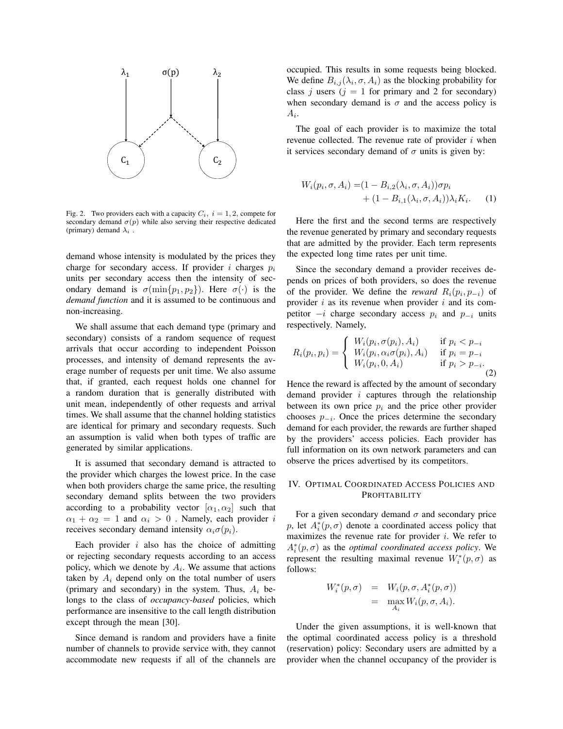

Fig. 2. Two providers each with a capacity  $C_i$ ,  $i = 1, 2$ , compete for secondary demand  $\sigma(p)$  while also serving their respective dedicated (primary) demand  $\lambda_i$ .

demand whose intensity is modulated by the prices they charge for secondary access. If provider i charges  $p_i$ units per secondary access then the intensity of secondary demand is  $\sigma(\min\{p_1, p_2\})$ . Here  $\sigma(\cdot)$  is the *demand function* and it is assumed to be continuous and non-increasing.

We shall assume that each demand type (primary and secondary) consists of a random sequence of request arrivals that occur according to independent Poisson processes, and intensity of demand represents the average number of requests per unit time. We also assume that, if granted, each request holds one channel for a random duration that is generally distributed with unit mean, independently of other requests and arrival times. We shall assume that the channel holding statistics are identical for primary and secondary requests. Such an assumption is valid when both types of traffic are generated by similar applications.

It is assumed that secondary demand is attracted to the provider which charges the lowest price. In the case when both providers charge the same price, the resulting secondary demand splits between the two providers according to a probability vector  $[\alpha_1, \alpha_2]$  such that  $\alpha_1 + \alpha_2 = 1$  and  $\alpha_i > 0$ . Namely, each provider i receives secondary demand intensity  $\alpha_i \sigma(p_i)$ .

Each provider  $i$  also has the choice of admitting or rejecting secondary requests according to an access policy, which we denote by  $A_i$ . We assume that actions taken by  $A_i$  depend only on the total number of users (primary and secondary) in the system. Thus,  $A_i$  belongs to the class of *occupancy-based* policies, which performance are insensitive to the call length distribution except through the mean [30].

Since demand is random and providers have a finite number of channels to provide service with, they cannot accommodate new requests if all of the channels are occupied. This results in some requests being blocked. We define  $B_{i,j}(\lambda_i, \sigma, A_i)$  as the blocking probability for class j users  $(j = 1$  for primary and 2 for secondary) when secondary demand is  $\sigma$  and the access policy is  $A_i$ .

The goal of each provider is to maximize the total revenue collected. The revenue rate of provider  $i$  when it services secondary demand of  $\sigma$  units is given by:

$$
W_i(p_i, \sigma, A_i) = (1 - B_{i,2}(\lambda_i, \sigma, A_i))\sigma p_i
$$
  
+ 
$$
(1 - B_{i,1}(\lambda_i, \sigma, A_i))\lambda_i K_i.
$$
 (1)

Here the first and the second terms are respectively the revenue generated by primary and secondary requests that are admitted by the provider. Each term represents the expected long time rates per unit time.

Since the secondary demand a provider receives depends on prices of both providers, so does the revenue of the provider. We define the *reward*  $R_i(p_i, p_{-i})$  of provider  $i$  as its revenue when provider  $i$  and its competitor  $-i$  charge secondary access  $p_i$  and  $p_{-i}$  units respectively. Namely,

$$
R_i(p_i, p_i) = \begin{cases} W_i(p_i, \sigma(p_i), A_i) & \text{if } p_i < p_{-i} \\ W_i(p_i, \alpha_i \sigma(p_i), A_i) & \text{if } p_i = p_{-i} \\ W_i(p_i, 0, A_i) & \text{if } p_i > p_{-i} . \end{cases}
$$
 (2)

Hence the reward is affected by the amount of secondary demand provider  $i$  captures through the relationship between its own price  $p_i$  and the price other provider chooses  $p_{-i}$ . Once the prices determine the secondary demand for each provider, the rewards are further shaped by the providers' access policies. Each provider has full information on its own network parameters and can observe the prices advertised by its competitors.

# IV. OPTIMAL COORDINATED ACCESS POLICIES AND **PROFITABILITY**

For a given secondary demand  $\sigma$  and secondary price p, let  $A_i^*(p, \sigma)$  denote a coordinated access policy that maximizes the revenue rate for provider  $i$ . We refer to  $A_i^*(p, \sigma)$  as the *optimal coordinated access policy*. We represent the resulting maximal revenue  $W^*_i(p, \sigma)$  as follows:

$$
W_i^*(p, \sigma) = W_i(p, \sigma, A_i^*(p, \sigma))
$$
  
= 
$$
\max_{A_i} W_i(p, \sigma, A_i).
$$

Under the given assumptions, it is well-known that the optimal coordinated access policy is a threshold (reservation) policy: Secondary users are admitted by a provider when the channel occupancy of the provider is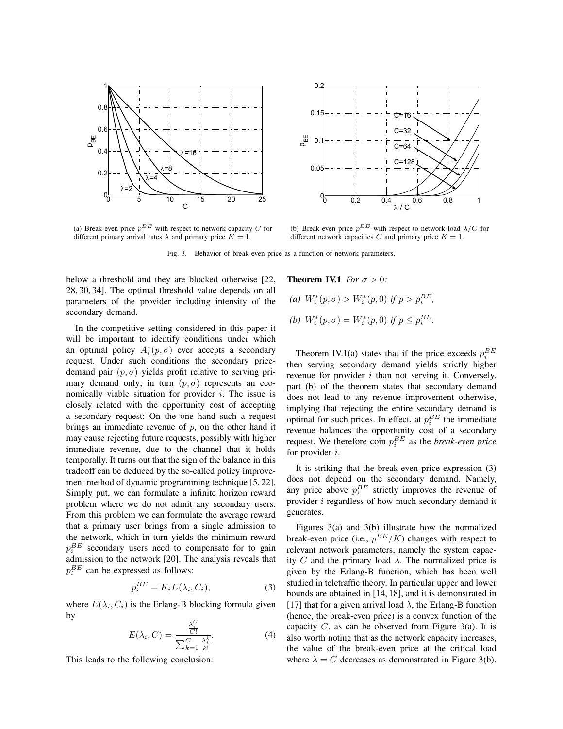

(a) Break-even price  $p^{BE}$  with respect to network capacity C for different primary arrival rates  $\lambda$  and primary price  $K = 1$ .



(b) Break-even price  $p^{BE}$  with respect to network load  $\lambda/C$  for different network capacities C and primary price  $K = 1$ .

Fig. 3. Behavior of break-even price as a function of network parameters.

below a threshold and they are blocked otherwise [22, 28, 30, 34]. The optimal threshold value depends on all parameters of the provider including intensity of the secondary demand.

In the competitive setting considered in this paper it will be important to identify conditions under which an optimal policy  $A_i^*(p, \sigma)$  ever accepts a secondary request. Under such conditions the secondary pricedemand pair  $(p, \sigma)$  yields profit relative to serving primary demand only; in turn  $(p, \sigma)$  represents an economically viable situation for provider  $i$ . The issue is closely related with the opportunity cost of accepting a secondary request: On the one hand such a request brings an immediate revenue of  $p$ , on the other hand it may cause rejecting future requests, possibly with higher immediate revenue, due to the channel that it holds temporally. It turns out that the sign of the balance in this tradeoff can be deduced by the so-called policy improvement method of dynamic programming technique [5, 22]. Simply put, we can formulate a infinite horizon reward problem where we do not admit any secondary users. From this problem we can formulate the average reward that a primary user brings from a single admission to the network, which in turn yields the minimum reward  $p_i^{BE}$  secondary users need to compensate for to gain admission to the network [20]. The analysis reveals that  $p_i^{BE}$  can be expressed as follows:

$$
p_i^{BE} = K_i E(\lambda_i, C_i), \tag{3}
$$

where  $E(\lambda_i, C_i)$  is the Erlang-B blocking formula given by

$$
E(\lambda_i, C) = \frac{\frac{\lambda_i^C}{C!}}{\sum_{k=1}^C \frac{\lambda_i^k}{k!}}.
$$
 (4)

This leads to the following conclusion:

(a) 
$$
W_i^*(p, \sigma) > W_i^*(p, 0)
$$
 if  $p > p_i^{BE}$ ,  
(b)  $W_i^*(p, \sigma) = W_i^*(p, 0)$  if  $p \le p_i^{BE}$ .

**Theorem IV.1** *For*  $\sigma > 0$ *:* 

Theorem IV.1(a) states that if the price exceeds  $p_i^{BE}$ then serving secondary demand yields strictly higher revenue for provider  $i$  than not serving it. Conversely, part (b) of the theorem states that secondary demand does not lead to any revenue improvement otherwise, implying that rejecting the entire secondary demand is optimal for such prices. In effect, at  $p_i^{BE}$  the immediate revenue balances the opportunity cost of a secondary request. We therefore coin  $p_i^{BE}$  as the *break-even price* for provider  $i$ .

It is striking that the break-even price expression (3) does not depend on the secondary demand. Namely, any price above  $p_i^{BE}$  strictly improves the revenue of provider  $i$  regardless of how much secondary demand it generates.

Figures 3(a) and 3(b) illustrate how the normalized break-even price (i.e.,  $p^{BE}/K$ ) changes with respect to relevant network parameters, namely the system capacity C and the primary load  $\lambda$ . The normalized price is given by the Erlang-B function, which has been well studied in teletraffic theory. In particular upper and lower bounds are obtained in [14, 18], and it is demonstrated in [17] that for a given arrival load  $\lambda$ , the Erlang-B function (hence, the break-even price) is a convex function of the capacity  $C$ , as can be observed from Figure 3(a). It is also worth noting that as the network capacity increases, the value of the break-even price at the critical load where  $\lambda = C$  decreases as demonstrated in Figure 3(b).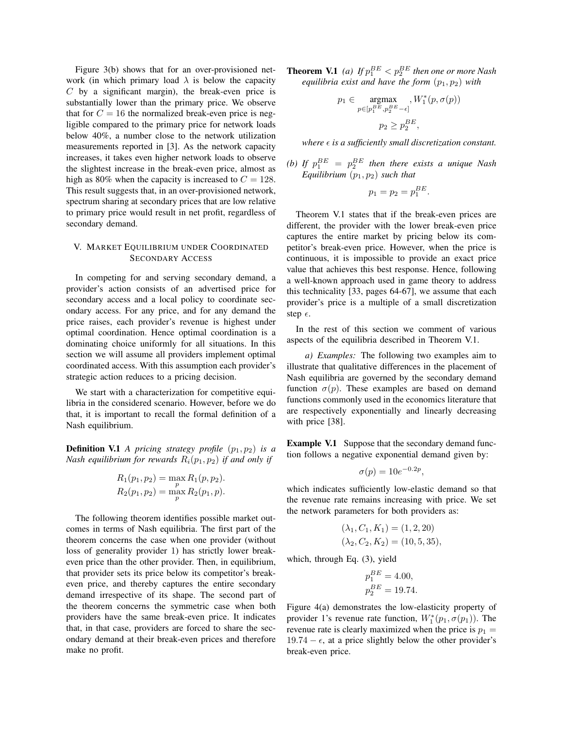Figure 3(b) shows that for an over-provisioned network (in which primary load  $\lambda$  is below the capacity  $C$  by a significant margin), the break-even price is substantially lower than the primary price. We observe that for  $C = 16$  the normalized break-even price is negligible compared to the primary price for network loads below 40%, a number close to the network utilization measurements reported in [3]. As the network capacity increases, it takes even higher network loads to observe the slightest increase in the break-even price, almost as high as 80% when the capacity is increased to  $C = 128$ . This result suggests that, in an over-provisioned network, spectrum sharing at secondary prices that are low relative to primary price would result in net profit, regardless of secondary demand.

# V. MARKET EQUILIBRIUM UNDER COORDINATED SECONDARY ACCESS

In competing for and serving secondary demand, a provider's action consists of an advertised price for secondary access and a local policy to coordinate secondary access. For any price, and for any demand the price raises, each provider's revenue is highest under optimal coordination. Hence optimal coordination is a dominating choice uniformly for all situations. In this section we will assume all providers implement optimal coordinated access. With this assumption each provider's strategic action reduces to a pricing decision.

We start with a characterization for competitive equilibria in the considered scenario. However, before we do that, it is important to recall the formal definition of a Nash equilibrium.

**Definition V.1** *A pricing strategy profile*  $(p_1, p_2)$  *is a Nash equilibrium for rewards*  $R_i(p_1, p_2)$  *if and only if* 

$$
R_1(p_1, p_2) = \max_{p} R_1(p, p_2).
$$
  
\n
$$
R_2(p_1, p_2) = \max_{p} R_2(p_1, p).
$$

The following theorem identifies possible market outcomes in terms of Nash equilibria. The first part of the theorem concerns the case when one provider (without loss of generality provider 1) has strictly lower breakeven price than the other provider. Then, in equilibrium, that provider sets its price below its competitor's breakeven price, and thereby captures the entire secondary demand irrespective of its shape. The second part of the theorem concerns the symmetric case when both providers have the same break-even price. It indicates that, in that case, providers are forced to share the secondary demand at their break-even prices and therefore make no profit.

**Theorem V.1** (a) If  $p_1^{BE} < p_2^{BE}$  then one or more Nash *equilibria exist and have the form*  $(p_1, p_2)$  *with* 

$$
p_1 \in \underset{p \in [p_1^{BE}, p_2^{BE} - \epsilon]}{\operatorname{argmax}} , W_1^*(p, \sigma(p))
$$

$$
p_2 \ge p_2^{BE},
$$

*where*  $\epsilon$  *is a sufficiently small discretization constant.* 

*(b)* If  $p_1^{BE} = p_2^{BE}$  then there exists a unique Nash *Equilibrium*  $(p_1, p_2)$  *such that* 

$$
p_1 = p_2 = p_1^{BE}.
$$

Theorem V.1 states that if the break-even prices are different, the provider with the lower break-even price captures the entire market by pricing below its competitor's break-even price. However, when the price is continuous, it is impossible to provide an exact price value that achieves this best response. Hence, following a well-known approach used in game theory to address this technicality [33, pages 64-67], we assume that each provider's price is a multiple of a small discretization step  $\epsilon$ .

In the rest of this section we comment of various aspects of the equilibria described in Theorem V.1.

*a) Examples:* The following two examples aim to illustrate that qualitative differences in the placement of Nash equilibria are governed by the secondary demand function  $\sigma(p)$ . These examples are based on demand functions commonly used in the economics literature that are respectively exponentially and linearly decreasing with price [38].

**Example V.1** Suppose that the secondary demand function follows a negative exponential demand given by:

$$
\sigma(p) = 10e^{-0.2p},
$$

which indicates sufficiently low-elastic demand so that the revenue rate remains increasing with price. We set the network parameters for both providers as:

$$
(\lambda_1, C_1, K_1) = (1, 2, 20)
$$
  

$$
(\lambda_2, C_2, K_2) = (10, 5, 35),
$$

which, through Eq. (3), yield

$$
p_1^{BE} = 4.00,
$$
  

$$
p_2^{BE} = 19.74.
$$

Figure 4(a) demonstrates the low-elasticity property of provider 1's revenue rate function,  $W_1^*(p_1, \sigma(p_1))$ . The revenue rate is clearly maximized when the price is  $p_1$  = 19.74  $\epsilon$ , at a price slightly below the other provider's break-even price.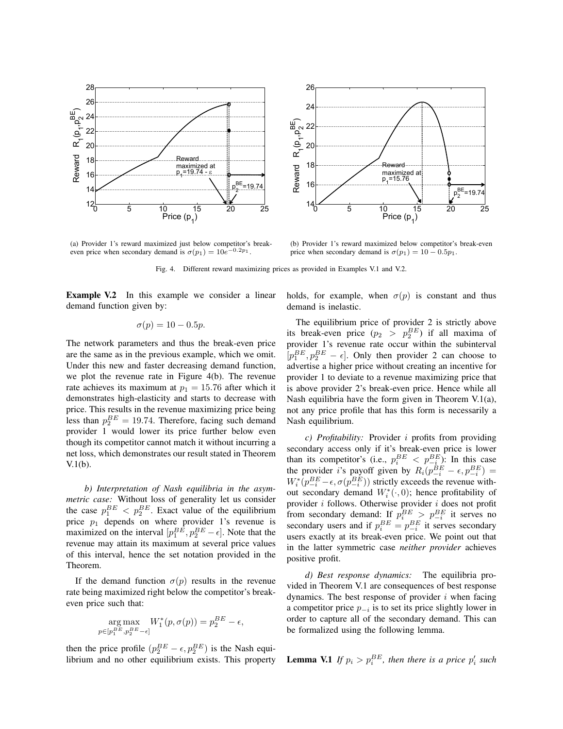

 $\frac{14}{0}$   $\frac{14}{5}$   $\frac{14}{10}$   $\frac{14}{15}$   $\frac{14}{20}$   $\frac{14}{25}$ 16 18 20 22 24 26 Price (p<sub>1</sub>) Reward<br>Reward<br>Reward 은 20 ୴<br>ငှ^ 2<br>— )Reward maximized at<br>p<sub>1</sub>=15.76  $p_2^{\text{BE}}$ =19.74

(a) Provider 1's reward maximized just below competitor's breakeven price when secondary demand is  $\sigma(p_1) = 10e^{-0.2p_1}$ .

(b) Provider 1's reward maximized below competitor's break-even price when secondary demand is  $\sigma(p_1) = 10 - 0.5p_1$ .

Fig. 4. Different reward maximizing prices as provided in Examples V.1 and V.2.

Example V.2 In this example we consider a linear demand function given by:

$$
\sigma(p) = 10 - 0.5p.
$$

The network parameters and thus the break-even price are the same as in the previous example, which we omit. Under this new and faster decreasing demand function, we plot the revenue rate in Figure 4(b). The revenue rate achieves its maximum at  $p_1 = 15.76$  after which it demonstrates high-elasticity and starts to decrease with price. This results in the revenue maximizing price being less than  $p_2^{BE} = 19.74$ . Therefore, facing such demand provider 1 would lower its price further below even though its competitor cannot match it without incurring a net loss, which demonstrates our result stated in Theorem V.1(b).

*b) Interpretation of Nash equilibria in the asymmetric case:* Without loss of generality let us consider the case  $p_1^{BE} < p_2^{BE}$ . Exact value of the equilibrium price  $p_1$  depends on where provider 1's revenue is maximized on the interval  $[p_1^{BE}, p_2^{BE} - \epsilon]$ . Note that the revenue may attain its maximum at several price values of this interval, hence the set notation provided in the Theorem.

If the demand function  $\sigma(p)$  results in the revenue rate being maximized right below the competitor's breakeven price such that:

$$
\underset{p \in [p_1^{BE}, p_2^{BE} - \epsilon]}{\arg \max} W_1^*(p, \sigma(p)) = p_2^{BE} - \epsilon,
$$

then the price profile  $(p_2^{BE} - \epsilon, p_2^{BE})$  is the Nash equilibrium and no other equilibrium exists. This property holds, for example, when  $\sigma(p)$  is constant and thus demand is inelastic.

The equilibrium price of provider 2 is strictly above its break-even price  $(p_2 > p_2^{BE})$  if all maxima of provider 1's revenue rate occur within the subinterval  $[p_1^{BE}, p_2^{BE} - \epsilon]$ . Only then provider 2 can choose to advertise a higher price without creating an incentive for provider 1 to deviate to a revenue maximizing price that is above provider 2's break-even price. Hence while all Nash equilibria have the form given in Theorem V.1(a), not any price profile that has this form is necessarily a Nash equilibrium.

*c) Profitability:* Provider i profits from providing secondary access only if it's break-even price is lower than its competitor's (i.e.,  $p_i^{BE} < p_{-i}^{BE}$ ): In this case the provider i's payoff given by  $R_i(p_{-i}^{BE} - \epsilon, p_{-i}^{BE}) =$  $W_i^*(p_{-i}^{BE} - \epsilon, \sigma(p_{-i}^{BE}))$  strictly exceeds the revenue without secondary demand  $W_i^*(\cdot, 0)$ ; hence profitability of provider  $i$  follows. Otherwise provider  $i$  does not profit from secondary demand: If  $p_i^{BE} > p_{-i}^{BE}$  it serves no secondary users and if  $p_i^{BE} = p_{-i}^{BE}$  it serves secondary users exactly at its break-even price. We point out that in the latter symmetric case *neither provider* achieves positive profit.

*d) Best response dynamics:* The equilibria provided in Theorem V.1 are consequences of best response dynamics. The best response of provider  $i$  when facing a competitor price  $p_{-i}$  is to set its price slightly lower in order to capture all of the secondary demand. This can be formalized using the following lemma.

**Lemma V.1** If  $p_i > p_i^{BE}$ , then there is a price  $p'_i$  such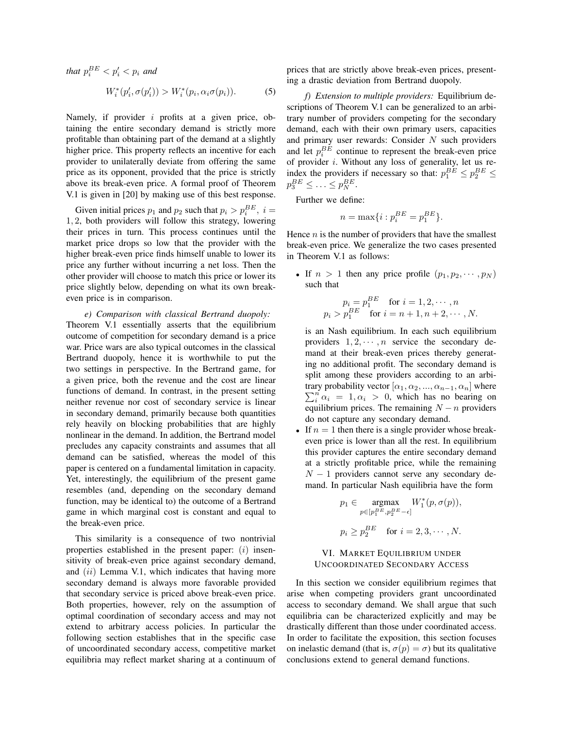*that*  $p_i^{BE} < p_i' < p_i$  and  $W_i^*(p'_i, \sigma(p'_i)) > W_i^*(p_i, \alpha_i \sigma(p_i)).$  (5)

Namely, if provider i profits at a given price, obtaining the entire secondary demand is strictly more profitable than obtaining part of the demand at a slightly higher price. This property reflects an incentive for each provider to unilaterally deviate from offering the same price as its opponent, provided that the price is strictly above its break-even price. A formal proof of Theorem V.1 is given in [20] by making use of this best response.

Given initial prices  $p_1$  and  $p_2$  such that  $p_i > p_i^{BE}$ ,  $i =$ 1, 2, both providers will follow this strategy, lowering their prices in turn. This process continues until the market price drops so low that the provider with the higher break-even price finds himself unable to lower its price any further without incurring a net loss. Then the other provider will choose to match this price or lower its price slightly below, depending on what its own breakeven price is in comparison.

*e) Comparison with classical Bertrand duopoly:* Theorem V.1 essentially asserts that the equilibrium outcome of competition for secondary demand is a price war. Price wars are also typical outcomes in the classical Bertrand duopoly, hence it is worthwhile to put the two settings in perspective. In the Bertrand game, for a given price, both the revenue and the cost are linear functions of demand. In contrast, in the present setting neither revenue nor cost of secondary service is linear in secondary demand, primarily because both quantities rely heavily on blocking probabilities that are highly nonlinear in the demand. In addition, the Bertrand model precludes any capacity constraints and assumes that all demand can be satisfied, whereas the model of this paper is centered on a fundamental limitation in capacity. Yet, interestingly, the equilibrium of the present game resembles (and, depending on the secondary demand function, may be identical to) the outcome of a Bertrand game in which marginal cost is constant and equal to the break-even price.

This similarity is a consequence of two nontrivial properties established in the present paper:  $(i)$  insensitivity of break-even price against secondary demand, and  $(ii)$  Lemma V.1, which indicates that having more secondary demand is always more favorable provided that secondary service is priced above break-even price. Both properties, however, rely on the assumption of optimal coordination of secondary access and may not extend to arbitrary access policies. In particular the following section establishes that in the specific case of uncoordinated secondary access, competitive market equilibria may reflect market sharing at a continuum of

prices that are strictly above break-even prices, presenting a drastic deviation from Bertrand duopoly.

*f) Extension to multiple providers:* Equilibrium descriptions of Theorem V.1 can be generalized to an arbitrary number of providers competing for the secondary demand, each with their own primary users, capacities and primary user rewards: Consider  $N$  such providers and let  $p_i^{BE}$  continue to represent the break-even price of provider i. Without any loss of generality, let us reindex the providers if necessary so that:  $p_1^{BE} \leq p_2^{BE} \leq$  $p_3^{BE} \leq \ldots \leq p_N^{BE}$ .

Further we define:

$$
n = \max\{i : p_i^{BE} = p_1^{BE}\}.
$$

Hence  $n$  is the number of providers that have the smallest break-even price. We generalize the two cases presented in Theorem V.1 as follows:

• If  $n > 1$  then any price profile  $(p_1, p_2, \dots, p_N)$ such that

$$
p_i = p_1^{BE}
$$
 for  $i = 1, 2, \dots, n$   
\n $p_i > p_1^{BE}$  for  $i = n + 1, n + 2, \dots, N$ .

is an Nash equilibrium. In each such equilibrium providers  $1, 2, \dots, n$  service the secondary demand at their break-even prices thereby generating no additional profit. The secondary demand is split among these providers according to an arbitrary probability vector  $[\alpha_1, \alpha_2, ..., \alpha_{n-1}, \alpha_n]$  where  $\sum_{i=1}^{n} \alpha_i = 1, \alpha_i > 0$ , which has no bearing on equilibrium prices. The remaining  $N - n$  providers do not capture any secondary demand.

• If  $n = 1$  then there is a single provider whose breakeven price is lower than all the rest. In equilibrium this provider captures the entire secondary demand at a strictly profitable price, while the remaining  $N - 1$  providers cannot serve any secondary demand. In particular Nash equilibria have the form

$$
p_1 \in \underset{p \in [p_1^{BE}, p_2^{BE} - \epsilon]}{\operatorname{argmax}} W_1^*(p, \sigma(p)),
$$
  

$$
p_i \ge p_2^{BE} \quad \text{for } i = 2, 3, \cdots, N.
$$

# VI. MARKET EQUILIBRIUM UNDER UNCOORDINATED SECONDARY ACCESS

In this section we consider equilibrium regimes that arise when competing providers grant uncoordinated access to secondary demand. We shall argue that such equilibria can be characterized explicitly and may be drastically different than those under coordinated access. In order to facilitate the exposition, this section focuses on inelastic demand (that is,  $\sigma(p) = \sigma$ ) but its qualitative conclusions extend to general demand functions.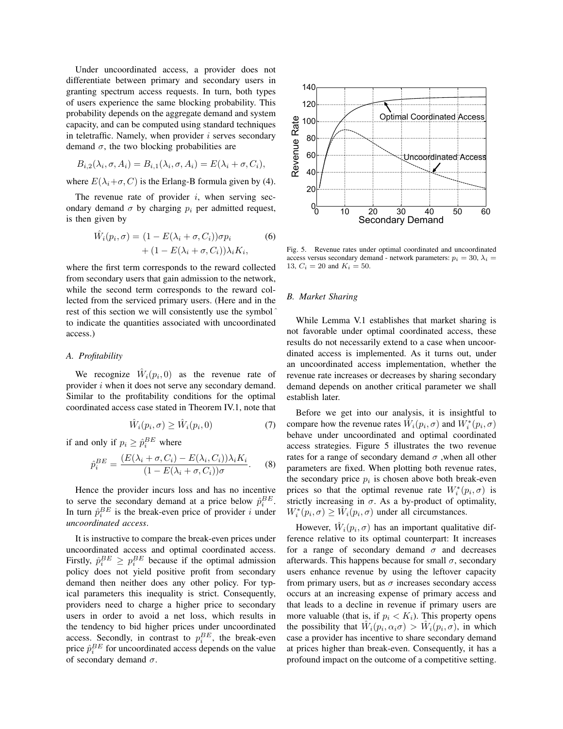Under uncoordinated access, a provider does not differentiate between primary and secondary users in granting spectrum access requests. In turn, both types of users experience the same blocking probability. This probability depends on the aggregate demand and system capacity, and can be computed using standard techniques in teletraffic. Namely, when provider  $i$  serves secondary demand  $\sigma$ , the two blocking probabilities are

$$
B_{i,2}(\lambda_i, \sigma, A_i) = B_{i,1}(\lambda_i, \sigma, A_i) = E(\lambda_i + \sigma, C_i),
$$

where  $E(\lambda_i+\sigma_i)$  is the Erlang-B formula given by (4).

The revenue rate of provider  $i$ , when serving secondary demand  $\sigma$  by charging  $p_i$  per admitted request, is then given by

$$
\hat{W}_i(p_i, \sigma) = (1 - E(\lambda_i + \sigma, C_i))\sigma p_i
$$
\n
$$
+ (1 - E(\lambda_i + \sigma, C_i))\lambda_i K_i,
$$
\n(6)

where the first term corresponds to the reward collected from secondary users that gain admission to the network, while the second term corresponds to the reward collected from the serviced primary users. (Here and in the rest of this section we will consistently use the symbolˆ to indicate the quantities associated with uncoordinated access.)

#### *A. Profitability*

We recognize  $\hat{W}_i(p_i, 0)$  as the revenue rate of provider *i* when it does not serve any secondary demand. Similar to the profitability conditions for the optimal coordinated access case stated in Theorem IV.1, note that

$$
\hat{W}_i(p_i, \sigma) \ge \hat{W}_i(p_i, 0) \tag{7}
$$

if and only if  $p_i \geq \hat{p}_i^{BE}$  where

$$
\hat{p}_i^{BE} = \frac{(E(\lambda_i + \sigma, C_i) - E(\lambda_i, C_i))\lambda_i K_i}{(1 - E(\lambda_i + \sigma, C_i))\sigma}.
$$
 (8)

Hence the provider incurs loss and has no incentive to serve the secondary demand at a price below  $\hat{p}_i^{BE}$ . In turn  $\hat{p}_i^{BE}$  is the break-even price of provider i under *uncoordinated access*.

It is instructive to compare the break-even prices under uncoordinated access and optimal coordinated access. Firstly,  $\hat{p}_i^{BE} \ge p_i^{BE}$  because if the optimal admission policy does not yield positive profit from secondary demand then neither does any other policy. For typical parameters this inequality is strict. Consequently, providers need to charge a higher price to secondary users in order to avoid a net loss, which results in the tendency to bid higher prices under uncoordinated access. Secondly, in contrast to  $p_i^{BE}$ , the break-even price  $\hat{p}_i^{BE}$  for uncoordinated access depends on the value of secondary demand  $\sigma$ .



Fig. 5. Revenue rates under optimal coordinated and uncoordinated access versus secondary demand - network parameters:  $p_i = 30$ ,  $\lambda_i =$ 13,  $C_i = 20$  and  $K_i = 50$ .

# *B. Market Sharing*

While Lemma V.1 establishes that market sharing is not favorable under optimal coordinated access, these results do not necessarily extend to a case when uncoordinated access is implemented. As it turns out, under an uncoordinated access implementation, whether the revenue rate increases or decreases by sharing secondary demand depends on another critical parameter we shall establish later.

Before we get into our analysis, it is insightful to compare how the revenue rates  $\hat{W}_i(p_i, \sigma)$  and  $\hat{W}_i^*(p_i, \sigma)$ behave under uncoordinated and optimal coordinated access strategies. Figure 5 illustrates the two revenue rates for a range of secondary demand  $\sigma$ , when all other parameters are fixed. When plotting both revenue rates, the secondary price  $p_i$  is chosen above both break-even prices so that the optimal revenue rate  $W^*_i(p_i, \sigma)$  is strictly increasing in  $\sigma$ . As a by-product of optimality,  $W_i^*(p_i, \sigma) \geq \hat{W}_i(p_i, \sigma)$  under all circumstances.

However,  $\hat{W}_i(p_i, \sigma)$  has an important qualitative difference relative to its optimal counterpart: It increases for a range of secondary demand  $\sigma$  and decreases afterwards. This happens because for small  $\sigma$ , secondary users enhance revenue by using the leftover capacity from primary users, but as  $\sigma$  increases secondary access occurs at an increasing expense of primary access and that leads to a decline in revenue if primary users are more valuable (that is, if  $p_i < K_i$ ). This property opens the possibility that  $\hat{W}_i(p_i, \alpha_i \sigma) > \hat{W}_i(p_i, \sigma)$ , in which case a provider has incentive to share secondary demand at prices higher than break-even. Consequently, it has a profound impact on the outcome of a competitive setting.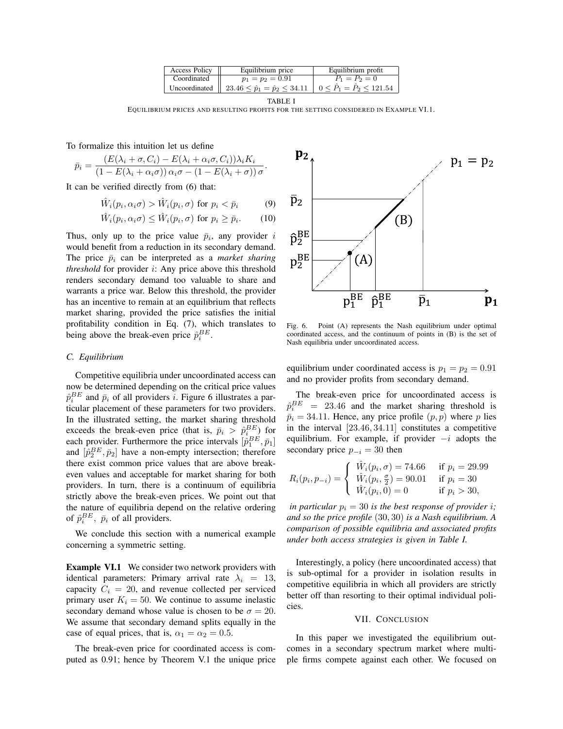| Access Policy | Equilibrium price                           | Equilibrium profit                         |
|---------------|---------------------------------------------|--------------------------------------------|
| Coordinated   | $p_1 = p_2 = 0.91$                          | $P_1 = P_2 = 0$                            |
| Uncoordinated | $23.46 \le \hat{p}_1 = \hat{p}_2 \le 34.11$ | $0 \leq \hat{P}_1 = \hat{P}_2 \leq 121.54$ |
| TARI E I      |                                             |                                            |

EQUILIBRIUM PRICES AND RESULTING PROFITS FOR THE SETTING CONSIDERED IN EXAMPLE VI.1.

To formalize this intuition let us define

$$
\bar{p}_i = \frac{(E(\lambda_i + \sigma, C_i) - E(\lambda_i + \alpha_i \sigma, C_i))\lambda_i K_i}{(1 - E(\lambda_i + \alpha_i \sigma))\alpha_i \sigma - (1 - E(\lambda_i + \sigma))\sigma}.
$$

It can be verified directly from (6) that:

$$
\hat{W}_i(p_i, \alpha_i \sigma) > \hat{W}_i(p_i, \sigma) \text{ for } p_i < \bar{p}_i \tag{9}
$$

$$
\hat{W}_i(p_i, \alpha_i \sigma) \le \hat{W}_i(p_i, \sigma) \text{ for } p_i \ge \bar{p}_i. \tag{10}
$$

Thus, only up to the price value  $\bar{p}_i$ , any provider i would benefit from a reduction in its secondary demand. The price  $\bar{p}_i$  can be interpreted as a *market sharing threshold* for provider i: Any price above this threshold renders secondary demand too valuable to share and warrants a price war. Below this threshold, the provider has an incentive to remain at an equilibrium that reflects market sharing, provided the price satisfies the initial profitability condition in Eq. (7), which translates to being above the break-even price  $\hat{p}_i^{BE}$ .

#### *C. Equilibrium*

Competitive equilibria under uncoordinated access can now be determined depending on the critical price values  $\hat{p}_i^{BE}$  and  $\bar{p}_i$  of all providers *i*. Figure 6 illustrates a particular placement of these parameters for two providers. In the illustrated setting, the market sharing threshold exceeds the break-even price (that is,  $\bar{p}_i > \hat{p}_i^{BE}$ ) for each provider. Furthermore the price intervals  $[\hat{p}_1^{BE}, \bar{p}_1]$ and  $[\hat{p}_2^{BE}, \bar{p}_2]$  have a non-empty intersection; therefore there exist common price values that are above breakeven values and acceptable for market sharing for both providers. In turn, there is a continuum of equilibria strictly above the break-even prices. We point out that the nature of equilibria depend on the relative ordering of  $\hat{p}_i^{BE}$ ,  $\bar{p}_i$  of all providers.

We conclude this section with a numerical example concerning a symmetric setting.

Example VI.1 We consider two network providers with identical parameters: Primary arrival rate  $\lambda_i = 13$ , capacity  $C_i = 20$ , and revenue collected per serviced primary user  $K_i = 50$ . We continue to assume inelastic secondary demand whose value is chosen to be  $\sigma = 20$ . We assume that secondary demand splits equally in the case of equal prices, that is,  $\alpha_1 = \alpha_2 = 0.5$ .

The break-even price for coordinated access is computed as 0.91; hence by Theorem V.1 the unique price



Fig. 6. Point (A) represents the Nash equilibrium under optimal coordinated access, and the continuum of points in (B) is the set of Nash equilibria under uncoordinated access.

equilibrium under coordinated access is  $p_1 = p_2 = 0.91$ and no provider profits from secondary demand.

The break-even price for uncoordinated access is  $\hat{p}_i^{BE}$  = 23.46 and the market sharing threshold is  $\bar{p}_i = 34.11$ . Hence, any price profile  $(p, p)$  where p lies in the interval [23.46, 34.11] constitutes a competitive equilibrium. For example, if provider  $-i$  adopts the secondary price  $p_{-i} = 30$  then

$$
R_i(p_i, p_{-i}) = \begin{cases} \n\hat{W}_i(p_i, \sigma) = 74.66 & \text{if } p_i = 29.99 \\
\hat{W}_i(p_i, \frac{\sigma}{2}) = 90.01 & \text{if } p_i = 30 \\
\hat{W}_i(p_i, 0) = 0 & \text{if } p_i > 30,\n\end{cases}
$$

*in particular*  $p_i = 30$  *is the best response of provider i; and so the price profile* (30, 30) *is a Nash equilibrium. A comparison of possible equilibria and associated profits under both access strategies is given in Table I.*

Interestingly, a policy (here uncoordinated access) that is sub-optimal for a provider in isolation results in competitive equilibria in which all providers are strictly better off than resorting to their optimal individual policies.

## VII. CONCLUSION

In this paper we investigated the equilibrium outcomes in a secondary spectrum market where multiple firms compete against each other. We focused on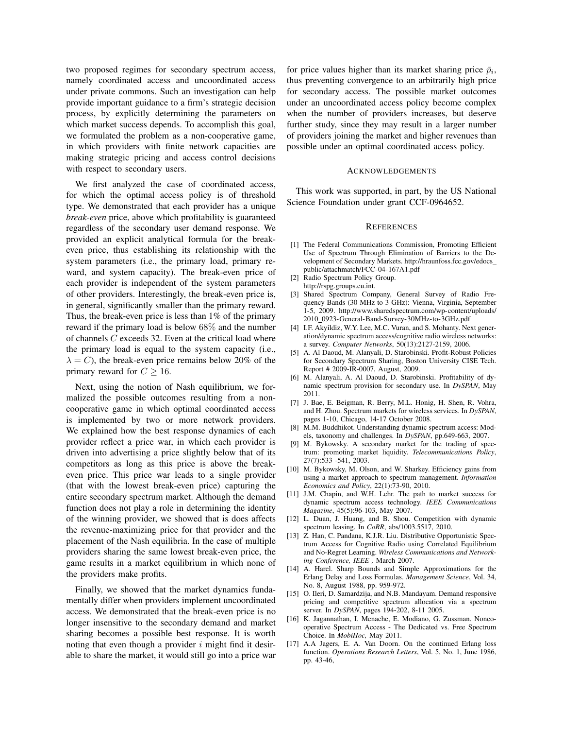two proposed regimes for secondary spectrum access, namely coordinated access and uncoordinated access under private commons. Such an investigation can help provide important guidance to a firm's strategic decision process, by explicitly determining the parameters on which market success depends. To accomplish this goal, we formulated the problem as a non-cooperative game, in which providers with finite network capacities are making strategic pricing and access control decisions with respect to secondary users.

We first analyzed the case of coordinated access, for which the optimal access policy is of threshold type. We demonstrated that each provider has a unique *break-even* price, above which profitability is guaranteed regardless of the secondary user demand response. We provided an explicit analytical formula for the breakeven price, thus establishing its relationship with the system parameters (i.e., the primary load, primary reward, and system capacity). The break-even price of each provider is independent of the system parameters of other providers. Interestingly, the break-even price is, in general, significantly smaller than the primary reward. Thus, the break-even price is less than 1% of the primary reward if the primary load is below 68% and the number of channels C exceeds 32. Even at the critical load where the primary load is equal to the system capacity (i.e.,  $\lambda = C$ ), the break-even price remains below 20% of the primary reward for  $C > 16$ .

Next, using the notion of Nash equilibrium, we formalized the possible outcomes resulting from a noncooperative game in which optimal coordinated access is implemented by two or more network providers. We explained how the best response dynamics of each provider reflect a price war, in which each provider is driven into advertising a price slightly below that of its competitors as long as this price is above the breakeven price. This price war leads to a single provider (that with the lowest break-even price) capturing the entire secondary spectrum market. Although the demand function does not play a role in determining the identity of the winning provider, we showed that is does affects the revenue-maximizing price for that provider and the placement of the Nash equilibria. In the case of multiple providers sharing the same lowest break-even price, the game results in a market equilibrium in which none of the providers make profits.

Finally, we showed that the market dynamics fundamentally differ when providers implement uncoordinated access. We demonstrated that the break-even price is no longer insensitive to the secondary demand and market sharing becomes a possible best response. It is worth noting that even though a provider  $i$  might find it desirable to share the market, it would still go into a price war

for price values higher than its market sharing price  $\bar{p}_i$ , thus preventing convergence to an arbitrarily high price for secondary access. The possible market outcomes under an uncoordinated access policy become complex when the number of providers increases, but deserve further study, since they may result in a larger number of providers joining the market and higher revenues than possible under an optimal coordinated access policy.

# ACKNOWLEDGEMENTS

This work was supported, in part, by the US National Science Foundation under grant CCF-0964652.

## **REFERENCES**

- [1] The Federal Communications Commission, Promoting Efficient Use of Spectrum Through Elimination of Barriers to the Development of Secondary Markets. http://hraunfoss.fcc.gov/edocs public/attachmatch/FCC-04-167A1.pdf
- [2] Radio Spectrum Policy Group.
- http://rspg.groups.eu.int.
- [3] Shared Spectrum Company, General Survey of Radio Frequency Bands (30 MHz to 3 GHz): Vienna, Virginia, September 1-5, 2009. http://www.sharedspectrum.com/wp-content/uploads/ 2010 0923-General-Band-Survey-30MHz-to-3GHz.pdf
- [4] I.F. Akyildiz, W.Y. Lee, M.C. Vuran, and S. Mohanty. Next generation/dynamic spectrum access/cognitive radio wireless networks: a survey. *Computer Networks*, 50(13):2127-2159, 2006.
- [5] A. Al Daoud, M. Alanyali, D. Starobinski. Profit-Robust Policies for Secondary Spectrum Sharing, Boston University CISE Tech. Report # 2009-IR-0007, August, 2009.
- [6] M. Alanyali, A. Al Daoud, D. Starobinski. Profitability of dynamic spectrum provision for secondary use. In *DySPAN*, May 2011.
- [7] J. Bae, E. Beigman, R. Berry, M.L. Honig, H. Shen, R. Vohra, and H. Zhou. Spectrum markets for wireless services. In *DySPAN*, pages 1-10, Chicago, 14-17 October 2008.
- [8] M.M. Buddhikot. Understanding dynamic spectrum access: Models, taxonomy and challenges. In *DySPAN*, pp.649-663, 2007.
- [9] M. Bykowsky. A secondary market for the trading of spectrum: promoting market liquidity. *Telecommunications Policy*, 27(7):533 -541, 2003.
- [10] M. Bykowsky, M. Olson, and W. Sharkey. Efficiency gains from using a market approach to spectrum management. *Information Economics and Policy*, 22(1):73-90, 2010.
- [11] J.M. Chapin, and W.H. Lehr. The path to market success for dynamic spectrum access technology. *IEEE Communications Magazine*, 45(5):96-103, May 2007.
- [12] L. Duan, J. Huang, and B. Shou. Competition with dynamic spectrum leasing. In *CoRR*, abs/1003.5517, 2010.
- [13] Z. Han, C. Pandana, K.J.R. Liu. Distributive Opportunistic Spectrum Access for Cognitive Radio using Correlated Equilibrium and No-Regret Learning. *Wireless Communications and Networking Conference, IEEE ,* March 2007.
- [14] A. Harel. Sharp Bounds and Simple Approximations for the Erlang Delay and Loss Formulas. *Management Science*, Vol. 34, No. 8, August 1988, pp. 959-972.
- [15] O. Ileri, D. Samardzija, and N.B. Mandayam. Demand responsive pricing and competitive spectrum allocation via a spectrum server. In *DySPAN*, pages 194-202, 8-11 2005.
- [16] K. Jagannathan, I. Menache, E. Modiano, G. Zussman. Noncooperative Spectrum Access - The Dedicated vs. Free Spectrum Choice. In *MobiHoc,* May 2011.
- [17] A.A Jagers, E. A. Van Doorn. On the continued Erlang loss function. *Operations Research Letters*, Vol. 5, No. 1, June 1986, pp. 43-46,